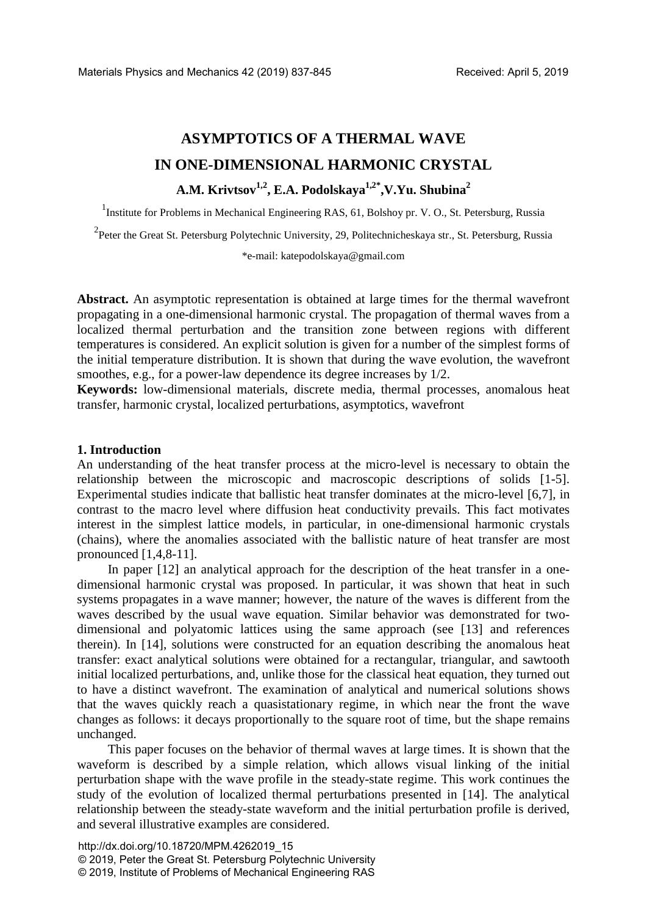# **ASYMPTOTICS OF A THERMAL WAVE IN ONE-DIMENSIONAL HARMONIC CRYSTAL A.M. Krivtsov1,2, E.A. Podolskaya1,2\*,V.Yu. Shubina2**

<sup>1</sup>Institute for Problems in Mechanical Engineering RAS, 61, Bolshoy pr. V. O., St. Petersburg, Russia

<sup>2</sup>Peter the Great St. Petersburg Polytechnic University, 29, Politechnicheskaya str., St. Petersburg, Russia

\*e-mail: katepodolskaya@gmail.com

**Abstract.** An asymptotic representation is obtained at large times for the thermal wavefront propagating in a one-dimensional harmonic crystal. The propagation of thermal waves from a localized thermal perturbation and the transition zone between regions with different temperatures is considered. An explicit solution is given for a number of the simplest forms of the initial temperature distribution. It is shown that during the wave evolution, the wavefront smoothes, e.g., for a power-law dependence its degree increases by 1/2.

**Keywords:** low-dimensional materials, discrete media, thermal processes, anomalous heat transfer, harmonic crystal, localized perturbations, asymptotics, wavefront

## **1. Introduction**

An understanding of the heat transfer process at the micro-level is necessary to obtain the relationship between the microscopic and macroscopic descriptions of solids [1-5]. Experimental studies indicate that ballistic heat transfer dominates at the micro-level [6,7], in contrast to the macro level where diffusion heat conductivity prevails. This fact motivates interest in the simplest lattice models, in particular, in one-dimensional harmonic crystals (chains), where the anomalies associated with the ballistic nature of heat transfer are most pronounced [1,4,8-11].

In paper [12] an analytical approach for the description of the heat transfer in a onedimensional harmonic crystal was proposed. In particular, it was shown that heat in such systems propagates in a wave manner; however, the nature of the waves is different from the waves described by the usual wave equation. Similar behavior was demonstrated for twodimensional and polyatomic lattices using the same approach (see [13] and references therein). In [14], solutions were constructed for an equation describing the anomalous heat transfer: exact analytical solutions were obtained for a rectangular, triangular, and sawtooth initial localized perturbations, and, unlike those for the classical heat equation, they turned out to have a distinct wavefront. The examination of analytical and numerical solutions shows that the waves quickly reach a quasistationary regime, in which near the front the wave changes as follows: it decays proportionally to the square root of time, but the shape remains unchanged.

This paper focuses on the behavior of thermal waves at large times. It is shown that the waveform is described by a simple relation, which allows visual linking of the initial perturbation shape with the wave profile in the steady-state regime. This work continues the study of the evolution of localized thermal perturbations presented in [14]. The analytical relationship between the steady-state waveform and the initial perturbation profile is derived, and several illustrative examples are considered.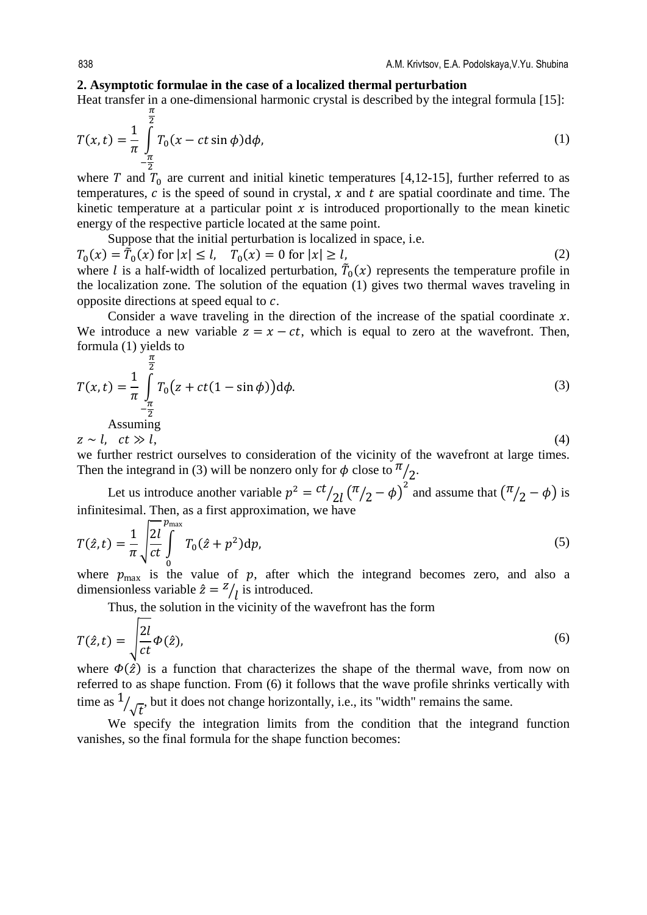#### **2. Asymptotic formulae in the case of a localized thermal perturbation**

Heat transfer in a one-dimensional harmonic crystal is described by the integral formula [15]:

$$
T(x,t) = \frac{1}{\pi} \int_{-\frac{\pi}{2}}^{\frac{\pi}{2}} T_0(x - ct \sin \phi) d\phi,
$$
 (1)

where T and  $T_0$  are current and initial kinetic temperatures [4,12-15], further referred to as temperatures,  $c$  is the speed of sound in crystal,  $x$  and  $t$  are spatial coordinate and time. The kinetic temperature at a particular point  $x$  is introduced proportionally to the mean kinetic energy of the respective particle located at the same point.

Suppose that the initial perturbation is localized in space, i.e.

 $T_0(x) = \tilde{T}_0(x)$  for  $|x| \le l$ ,  $T_0(x) = 0$  for  $|x| \ge l$ , (2) where *l* is a half-width of localized perturbation,  $T_0(x)$  represents the temperature profile in the localization zone. The solution of the equation (1) gives two thermal waves traveling in opposite directions at speed equal to  $c$ .

Consider a wave traveling in the direction of the increase of the spatial coordinate  $x$ . We introduce a new variable  $z = x - ct$ , which is equal to zero at the wavefront. Then, formula (1) yields to

$$
T(x,t) = \frac{1}{\pi} \int_{-\frac{\pi}{2}}^{\frac{\pi}{2}} T_0 \left( z + ct(1 - \sin \phi) \right) d\phi.
$$
 (3)  
Assuming

 $z \sim l$ ,  $ct \gg l$ , (4)

we further restrict ourselves to consideration of the vicinity of the wavefront at large times. Then the integrand in (3) will be nonzero only for  $\phi$  close to  $\frac{\pi}{2}$ .

Let us introduce another variable  $p^2 = \frac{ct}{2l} (\pi/2 - \phi)^2$  and assume that  $(\pi/2 - \phi)$  is infinitesimal. Then, as a first approximation, we have

$$
T(\hat{z},t) = \frac{1}{\pi} \sqrt{\frac{2l}{ct}} \int_{0}^{p_{\text{max}}} T_0(\hat{z} + p^2) dp,
$$
\n(5)

where  $p_{\text{max}}$  is the value of p, after which the integrand becomes zero, and also a dimensionless variable  $\hat{z} = \frac{z}{l}$  is introduced.

Thus, the solution in the vicinity of the wavefront has the form

$$
T(\hat{z},t) = \sqrt{\frac{2l}{ct}\Phi(\hat{z})},\tag{6}
$$

where  $\Phi(\hat{z})$  is a function that characterizes the shape of the thermal wave, from now on referred to as shape function. From (6) it follows that the wave profile shrinks vertically with time as  $\frac{1}{\sqrt{t}}$ , but it does not change horizontally, i.e., its "width" remains the same.

We specify the integration limits from the condition that the integrand function vanishes, so the final formula for the shape function becomes: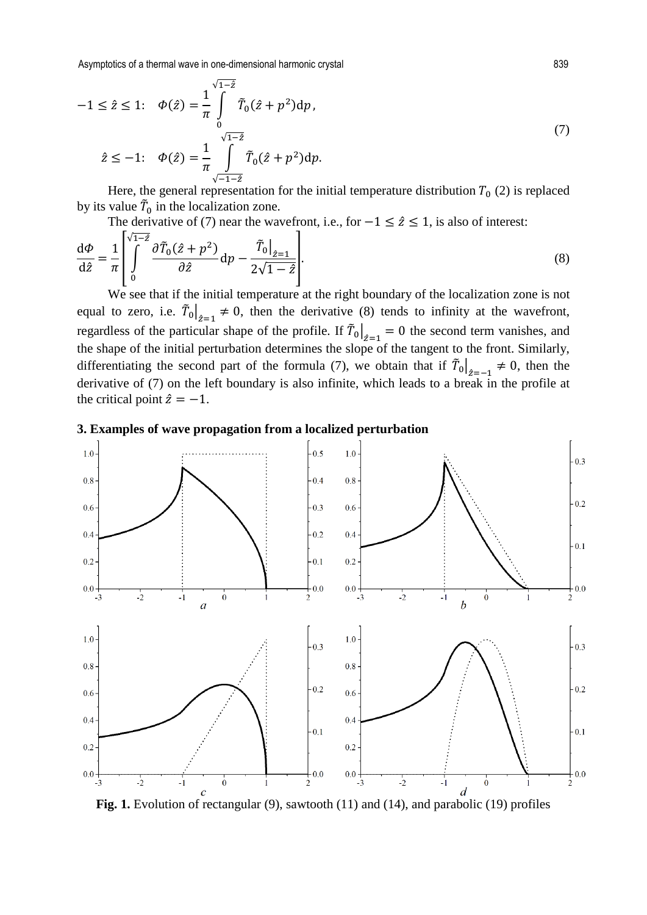Asymptotics of a thermal wave in one-dimensional harmonic crystal 839

$$
-1 \leq \hat{z} \leq 1; \quad \Phi(\hat{z}) = \frac{1}{\pi} \int_{0}^{\sqrt{1-\hat{z}}} \tilde{T}_0(\hat{z} + p^2) dp,
$$
  

$$
\hat{z} \leq -1; \quad \Phi(\hat{z}) = \frac{1}{\pi} \int_{\sqrt{-1-\hat{z}}}^{\sqrt{1-\hat{z}}} \tilde{T}_0(\hat{z} + p^2) dp.
$$
 (7)

Here, the general representation for the initial temperature distribution  $T_0$  (2) is replaced by its value  $\bar{T}_0$  in the localization zone.

The derivative of (7) near the wavefront, i.e., for  $-1 \leq \hat{z} \leq 1$ , is also of interest:

$$
\frac{\mathrm{d}\Phi}{\mathrm{d}\hat{z}} = \frac{1}{\pi} \left| \int\limits_{0}^{\sqrt{1-\hat{z}}} \frac{\partial \tilde{T}_0(\hat{z}+p^2)}{\partial \hat{z}} \mathrm{d}p - \frac{\tilde{T}_0\big|_{\hat{z}=1}}{2\sqrt{1-\hat{z}}} \right|.
$$
\n(8)

We see that if the initial temperature at the right boundary of the localization zone is not equal to zero, i.e.  $\tilde{T}_0|_{\hat{z}=1} \neq 0$ , then the derivative (8) tends to infinity at the wavefront,  $\ddot{z}$ =1 regardless of the particular shape of the profile. If  $\overline{T}_0\big|_{z=1} = 0$  the second term vanishes, and the shape of the initial perturbation determines the slope of the tangent to the front. Similarly, differentiating the second part of the formula (7), we obtain that if  $\overline{T}_0|_{z=-1} \neq 0$ , then the derivative of (7) on the left boundary is also infinite, which leads to a break in the profile at the critical point  $\hat{z} = -1$ .

## **3. Examples of wave propagation from a localized perturbation**



Fig. 1. Evolution of rectangular (9), sawtooth (11) and (14), and parabolic (19) profiles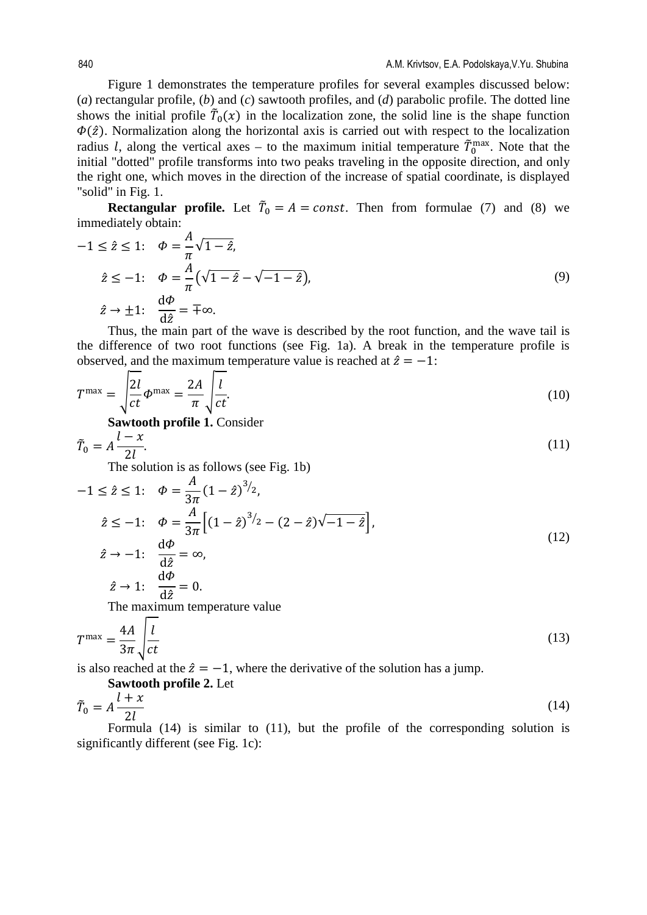Figure 1 demonstrates the temperature profiles for several examples discussed below: (*a*) rectangular profile, (*b*) and (*c*) sawtooth profiles, and (*d*) parabolic profile. The dotted line shows the initial profile  $\tilde{T}_0(x)$  in the localization zone, the solid line is the shape function  $\Phi(\hat{z})$ . Normalization along the horizontal axis is carried out with respect to the localization radius *l*, along the vertical axes – to the maximum initial temperature  $\tilde{T}_0^{\text{max}}$ . Note that the initial "dotted" profile transforms into two peaks traveling in the opposite direction, and only the right one, which moves in the direction of the increase of spatial coordinate, is displayed "solid" in Fig. 1.

**Rectangular profile.** Let  $T_0 = A = const$ . Then from formulae (7) and (8) we immediately obtain:

$$
-1 \leq \hat{z} \leq 1; \quad \Phi = \frac{A}{\pi} \sqrt{1 - \hat{z}},
$$
  

$$
\hat{z} \leq -1; \quad \Phi = \frac{A}{\pi} \left( \sqrt{1 - \hat{z}} - \sqrt{-1 - \hat{z}} \right),
$$
  

$$
\hat{z} \to \pm 1; \quad \frac{d\Phi}{d\hat{z}} = \pm \infty.
$$
  

$$
\sum_{n=1}^{\infty} \frac{d\Phi}{d\hat{z}} = \pm \infty.
$$
 (9)

Thus, the main part of the wave is described by the root function, and the wave tail is the difference of two root functions (see Fig. 1a). A break in the temperature profile is observed, and the maximum temperature value is reached at  $\hat{z} = -1$ :

$$
T^{\max} = \sqrt{\frac{2l}{ct}} \Phi^{\max} = \frac{2A}{\pi} \sqrt{\frac{l}{ct}}.
$$
 (10)

**Sawtooth profile 1.** Consider

$$
\tilde{T}_0 = A \frac{l - x}{2l}.\tag{11}
$$

The solution is as follows (see Fig. 1b)

$$
-1 \leq \hat{z} \leq 1; \quad \phi = \frac{A}{3\pi} (1 - \hat{z})^{3/2},
$$
  

$$
\hat{z} \leq -1; \quad \phi = \frac{A}{3\pi} \Big[ (1 - \hat{z})^{3/2} - (2 - \hat{z}) \sqrt{-1 - \hat{z}} \Big],
$$
  

$$
\hat{z} \to -1; \quad \frac{d\phi}{d\hat{z}} = \infty,
$$
  

$$
\hat{z} \to 1; \quad \frac{d\phi}{d\hat{z}} = 0
$$
 (12)

d $\ddot{z}$ The maximum temperature value

 $= 0.$ 

 $\ddot{z} \rightarrow 1$ :

$$
T^{\max} = \frac{4A}{3\pi} \sqrt{\frac{l}{ct}}
$$
 (13)

is also reached at the  $\hat{z} = -1$ , where the derivative of the solution has a jump.

Sawtooth profile 2. Let  
\n
$$
\tilde{T}_0 = A \frac{l + x}{2l}
$$
\n(14)

Formula (14) is similar to (11), but the profile of the corresponding solution is significantly different (see Fig. 1c):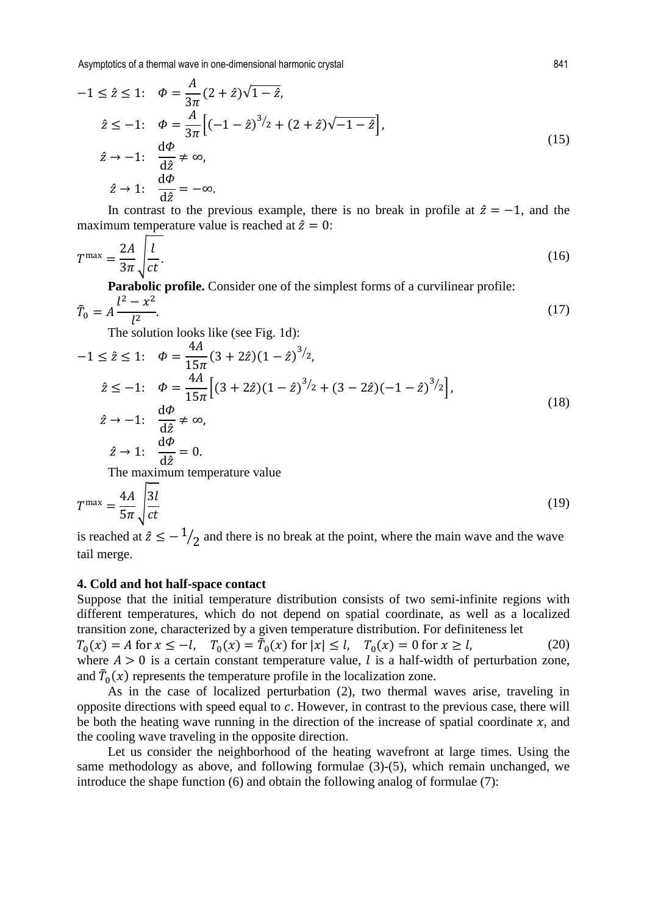Asymptotics of a thermal wave in one-dimensional harmonic crystal 841

$$
-1 \leq \hat{z} \leq 1; \quad \phi = \frac{A}{3\pi} (2 + \hat{z}) \sqrt{1 - \hat{z}},
$$
  
\n
$$
\hat{z} \leq -1; \quad \phi = \frac{A}{3\pi} \Big[ (-1 - \hat{z})^{3/2} + (2 + \hat{z}) \sqrt{-1 - \hat{z}} \Big],
$$
  
\n
$$
\hat{z} \to -1; \quad \frac{d\phi}{d\hat{z}} \neq \infty,
$$
  
\n
$$
\hat{z} \to 1; \quad \frac{d\phi}{d\hat{z}} = -\infty.
$$
\n(15)

In contrast to the previous example, there is no break in profile at  $\hat{z} = -1$ , and the maximum temperature value is reached at  $\hat{z} = 0$ :

$$
T^{\max} = \frac{2A}{3\pi} \sqrt{\frac{l}{ct}}.
$$
 (16)

**Parabolic profile.** Consider one of the simplest forms of a curvilinear profile:

$$
\tilde{T}_0 = A \frac{l^2 - x^2}{l^2}.
$$
\n(17)

The solution looks like (see Fig. 1d):

$$
-1 \leq \hat{z} \leq 1; \quad \phi = \frac{4A}{15\pi} (3 + 2\hat{z})(1 - \hat{z})^{3/2},
$$
  
\n
$$
\hat{z} \leq -1; \quad \phi = \frac{4A}{15\pi} \Big[ (3 + 2\hat{z})(1 - \hat{z})^{3/2} + (3 - 2\hat{z})(-1 - \hat{z})^{3/2} \Big],
$$
  
\n
$$
\hat{z} \to -1; \quad \frac{d\phi}{d\hat{z}} \neq \infty,
$$
  
\n
$$
\hat{z} \to 1; \quad \frac{d\phi}{d\hat{z}} = 0.
$$
\nT\n
$$
(18)
$$

The maximum temperature value

$$
T^{\max} = \frac{4A}{5\pi} \sqrt{\frac{3l}{ct}} \tag{19}
$$

is reached at  $\hat{z} \le -1/2$  and there is no break at the point, where the main wave and the wave tail merge.

#### **4. Cold and hot half-space contact**

Suppose that the initial temperature distribution consists of two semi-infinite regions with different temperatures, which do not depend on spatial coordinate, as well as a localized transition zone, characterized by a given temperature distribution. For definiteness let  $T_0(x) = A$  for  $x \le -l$ ,  $T_0(x) = \tilde{T}_0(x)$  for  $|x| \le l$ ,  $T_0(x) = 0$  for  $x \ge l$ , (20) where  $A > 0$  is a certain constant temperature value, l is a half-width of perturbation zone, and  $\overline{T}_0(x)$  represents the temperature profile in the localization zone.

As in the case of localized perturbation (2), two thermal waves arise, traveling in opposite directions with speed equal to  $c$ . However, in contrast to the previous case, there will be both the heating wave running in the direction of the increase of spatial coordinate  $x$ , and the cooling wave traveling in the opposite direction.

Let us consider the neighborhood of the heating wavefront at large times. Using the same methodology as above, and following formulae (3)-(5), which remain unchanged, we introduce the shape function (6) and obtain the following analog of formulae (7):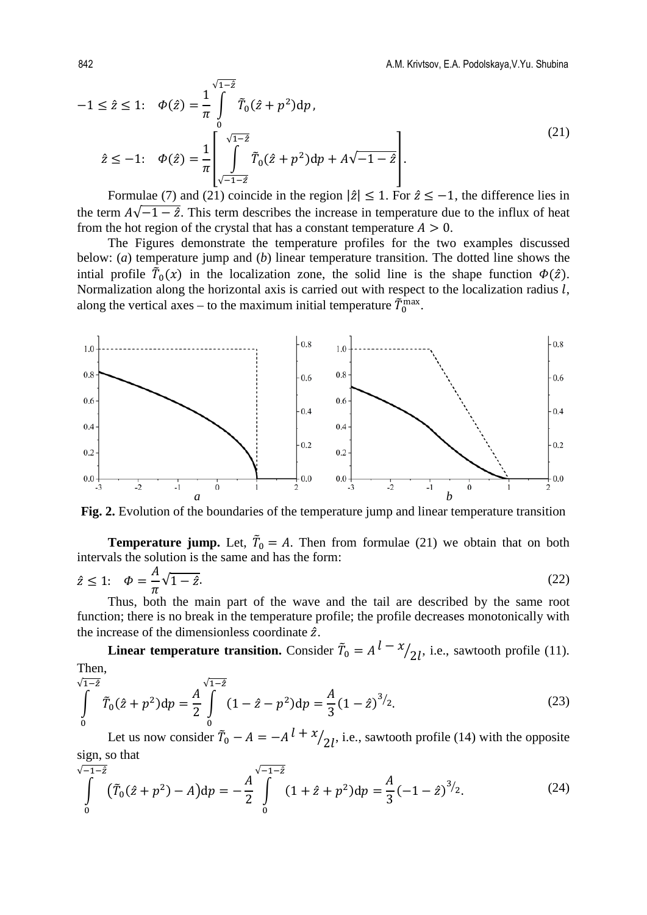$$
-1 \leq \hat{z} \leq 1; \quad \phi(\hat{z}) = \frac{1}{\pi} \int_{0}^{\sqrt{1-\hat{z}}} \tilde{T}_0(\hat{z} + p^2) dp,
$$
  

$$
\hat{z} \leq -1; \quad \phi(\hat{z}) = \frac{1}{\pi} \left[ \int_{\sqrt{-1-\hat{z}}}^{\sqrt{1-\hat{z}}} \tilde{T}_0(\hat{z} + p^2) dp + A\sqrt{-1-\hat{z}} \right].
$$
  
(21)

Formulae (7) and (21) coincide in the region  $|\hat{z}| \leq 1$ . For  $\hat{z} \leq -1$ , the difference lies in the term  $A\sqrt{-1-\hat{z}}$ . This term describes the increase in temperature due to the influx of heat from the hot region of the crystal that has a constant temperature  $A > 0$ .

The Figures demonstrate the temperature profiles for the two examples discussed below: (*a*) temperature jump and (*b*) linear temperature transition. The dotted line shows the intial profile  $\overline{T}_0(x)$  in the localization zone, the solid line is the shape function  $\Phi(\hat{z})$ . Normalization along the horizontal axis is carried out with respect to the localization radius  $l$ , along the vertical axes – to the maximum initial temperature  $\tilde{T}_0^{\text{max}}$ .



**Fig. 2.** Evolution of the boundaries of the temperature jump and linear temperature transition

**Temperature jump.** Let,  $\overline{T}_0 = A$ . Then from formulae (21) we obtain that on both intervals the solution is the same and has the form:

$$
\hat{z} \le 1; \quad \Phi = \frac{A}{\pi} \sqrt{1 - \hat{z}}.
$$
\n(22)

Thus, both the main part of the wave and the tail are described by the same root function; there is no break in the temperature profile; the profile decreases monotonically with the increase of the dimensionless coordinate  $\hat{z}$ .

**Linear temperature transition.** Consider  $\tilde{T}_0 = A^l - x/2l$ , i.e., sawtooth profile (11). Then,

$$
\int_{0}^{\sqrt{1-2}} \tilde{T}_0(\hat{z} + p^2) dp = \frac{A}{2} \int_{0}^{\sqrt{1-2}} (1 - \hat{z} - p^2) dp = \frac{A}{3} (1 - \hat{z})^{3/2}.
$$
 (23)

Let us now consider  $\tilde{T}_0 - A = -A^{l + \chi}/2l$ , i.e., sawtooth profile (14) with the opposite sign, so that

$$
\int_{0}^{\sqrt{-1-\hat{z}}} (\tilde{T}_0(\hat{z}+p^2)-A)dp = -\frac{A}{2}\int_{0}^{\sqrt{-1-\hat{z}}} (1+\hat{z}+p^2)dp = \frac{A}{3}(-1-\hat{z})^{3/2}.
$$
 (24)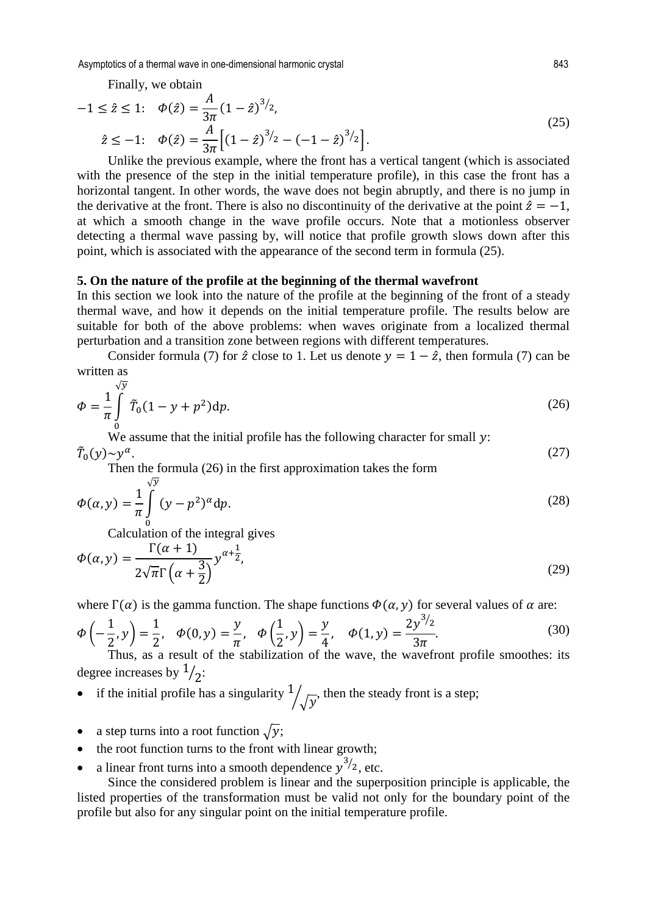Asymptotics of a thermal wave in one-dimensional harmonic crystal 843

Finally, we obtain

$$
-1 \leq \hat{z} \leq 1; \quad \phi(\hat{z}) = \frac{A}{3\pi} (1 - \hat{z})^{3/2},
$$
  

$$
\hat{z} \leq -1; \quad \phi(\hat{z}) = \frac{A}{3\pi} \Big[ (1 - \hat{z})^{3/2} - (-1 - \hat{z})^{3/2} \Big].
$$
  
*(25)*

Unlike the previous example, where the front has a vertical tangent (which is associated with the presence of the step in the initial temperature profile), in this case the front has a horizontal tangent. In other words, the wave does not begin abruptly, and there is no jump in the derivative at the front. There is also no discontinuity of the derivative at the point  $\hat{z} = -1$ , at which a smooth change in the wave profile occurs. Note that a motionless observer detecting a thermal wave passing by, will notice that profile growth slows down after this point, which is associated with the appearance of the second term in formula (25).

### **5. On the nature of the profile at the beginning of the thermal wavefront**

In this section we look into the nature of the profile at the beginning of the front of a steady thermal wave, and how it depends on the initial temperature profile. The results below are suitable for both of the above problems: when waves originate from a localized thermal perturbation and a transition zone between regions with different temperatures.

Consider formula (7) for  $\hat{z}$  close to 1. Let us denote  $y = 1 - \hat{z}$ , then formula (7) can be written as

$$
\Phi = \frac{1}{\pi} \int_{0}^{\sqrt{y}} \tilde{T}_0 (1 - y + p^2) dp.
$$
\n(26)

 $\overline{0}$  We assume that the initial profile has the following character for small y:  $\bar{T}_0(y) \sim y^\alpha$ .  $\int_0^1 (y) \sim y^\alpha.$  (27)

Then the formula (26) in the first approximation takes the form

$$
\Phi(\alpha, y) = \frac{1}{\pi} \int_{0}^{\sqrt{y}} (y - p^2)^{\alpha} dp.
$$
\n(28)

0 Calculation of the integral gives

$$
\Phi(\alpha, y) = \frac{\Gamma(\alpha + 1)}{2\sqrt{\pi}\Gamma(\alpha + \frac{3}{2})} y^{\alpha + \frac{1}{2}},\tag{29}
$$

where  $\Gamma(\alpha)$  is the gamma function. The shape functions  $\Phi(\alpha, y)$  for several values of  $\alpha$  are:

$$
\Phi\left(-\frac{1}{2}, y\right) = \frac{1}{2}, \quad \Phi(0, y) = \frac{y}{\pi}, \quad \Phi\left(\frac{1}{2}, y\right) = \frac{y}{4}, \quad \Phi(1, y) = \frac{2y^{3/2}}{3\pi}.
$$
\n(30)

Thus, as a result of the stabilization of the wave, the wavefront profile smoothes: its degree increases by  $\frac{1}{2}$ :

- if the initial profile has a singularity  $\frac{1}{\sqrt{y}}$ , then the steady front is a step;
- a step turns into a root function  $\sqrt{y}$ ;
- the root function turns to the front with linear growth;
- a linear front turns into a smooth dependence  $y^{3/2}$ , etc.

Since the considered problem is linear and the superposition principle is applicable, the listed properties of the transformation must be valid not only for the boundary point of the profile but also for any singular point on the initial temperature profile.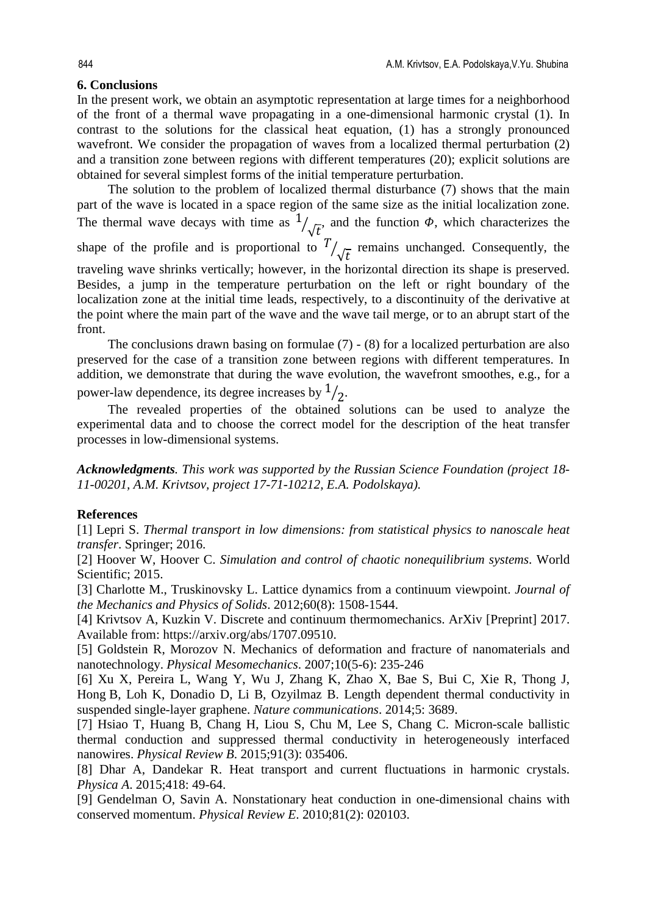# **6. Conclusions**

In the present work, we obtain an asymptotic representation at large times for a neighborhood of the front of a thermal wave propagating in a one-dimensional harmonic crystal (1). In contrast to the solutions for the classical heat equation, (1) has a strongly pronounced wavefront. We consider the propagation of waves from a localized thermal perturbation (2) and a transition zone between regions with different temperatures (20); explicit solutions are obtained for several simplest forms of the initial temperature perturbation.

The solution to the problem of localized thermal disturbance (7) shows that the main part of the wave is located in a space region of the same size as the initial localization zone. The thermal wave decays with time as  $\frac{1}{\sqrt{t}}$  and the function  $\phi$ , which characterizes the shape of the profile and is proportional to  $\frac{T}{\sqrt{t}}$  remains unchanged. Consequently, the traveling wave shrinks vertically; however, in the horizontal direction its shape is preserved. Besides, a jump in the temperature perturbation on the left or right boundary of the localization zone at the initial time leads, respectively, to a discontinuity of the derivative at the point where the main part of the wave and the wave tail merge, or to an abrupt start of the front.

The conclusions drawn basing on formulae (7) - (8) for a localized perturbation are also preserved for the case of a transition zone between regions with different temperatures. In addition, we demonstrate that during the wave evolution, the wavefront smoothes, e.g., for a power-law dependence, its degree increases by  $\frac{1}{2}$ .

The revealed properties of the obtained solutions can be used to analyze the experimental data and to choose the correct model for the description of the heat transfer processes in low-dimensional systems.

*Acknowledgments. This work was supported by the Russian Science Foundation (project 18- 11-00201, A.M. Krivtsov, project 17-71-10212, E.A. Podolskaya).*

# **References**

[1] Lepri S. *Thermal transport in low dimensions: from statistical physics to nanoscale heat transfer*. Springer; 2016.

[2] Hoover W, Hoover C. *Simulation and control of chaotic nonequilibrium systems*. World Scientific: 2015.

[3] Charlotte M., Truskinovsky L. Lattice dynamics from a continuum viewpoint. *Journal of the Mechanics and Physics of Solids*. 2012;60(8): 1508-1544.

[4] Krivtsov A, Kuzkin V. Discrete and continuum thermomechanics. ArXiv [Preprint] 2017. Available from: https://arxiv.org/abs/1707.09510.

[5] Goldstein R, Morozov N. Mechanics of deformation and fracture of nanomaterials and nanotechnology. *Physical Mesomechanics*. 2007;10(5-6): 235-246

[6] Xu X, Pereira L, Wang Y, Wu J, Zhang K, Zhao X, Bae S, Bui C, Xie R, Thong J, Hong B, Loh K, Donadio D, Li B, Ozyilmaz B. Length dependent thermal conductivity in suspended single-layer graphene. *Nature communications*. 2014;5: 3689.

[7] Hsiao T, Huang B, Chang H, Liou S, Chu M, Lee S, Chang C. Micron-scale ballistic thermal conduction and suppressed thermal conductivity in heterogeneously interfaced nanowires. *Physical Review B*. 2015;91(3): 035406.

[8] Dhar A, Dandekar R. Heat transport and current fluctuations in harmonic crystals. *Physica A*. 2015;418: 49-64.

[9] Gendelman O, Savin A. Nonstationary heat conduction in one-dimensional chains with conserved momentum. *Physical Review E*. 2010;81(2): 020103.